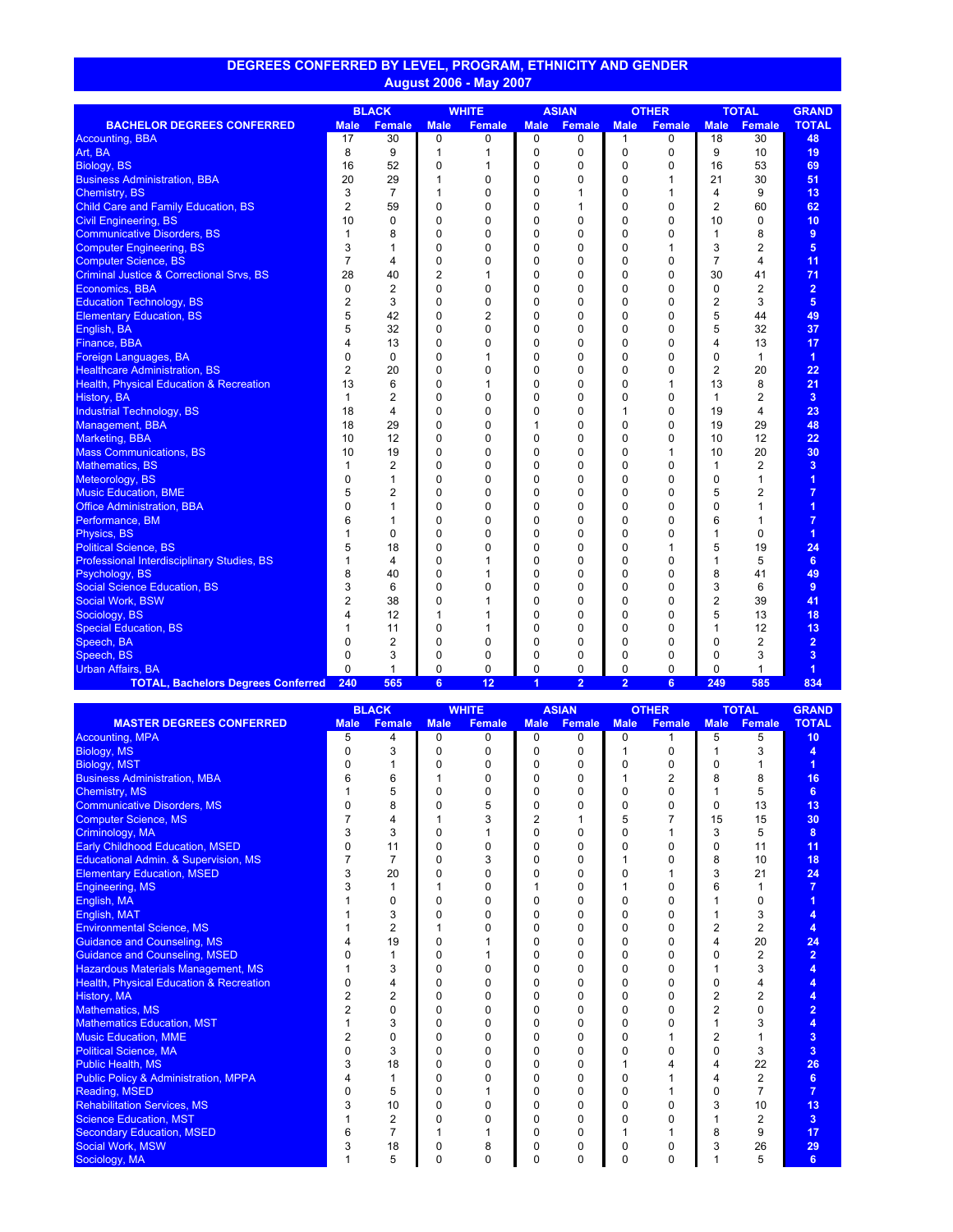| <u>DEGREES CONFERRED BY LEVEL, PROGRAM, ETHNICITY AND GENDER </u> |  |
|-------------------------------------------------------------------|--|
| / August 2006 - May 2007                                          |  |

|                                                     | <b>BLACK</b>   |                | <b>WHITE</b>   |               | <b>ASIAN</b>   |                | <b>OTHER</b>   |        | <b>TOTAL</b>   |                | <b>GRAND</b>         |
|-----------------------------------------------------|----------------|----------------|----------------|---------------|----------------|----------------|----------------|--------|----------------|----------------|----------------------|
| <b>BACHELOR DEGREES CONFERRED</b>                   | <b>Male</b>    | <b>Female</b>  | <b>Male</b>    | <b>Female</b> | <b>Male</b>    | <b>Female</b>  | <b>Male</b>    | Female | <b>Male</b>    | <b>Female</b>  | <b>TOTAL</b>         |
| <b>Accounting, BBA</b>                              | 17             | 30             | 0              | 0             | 0              | 0              | $\mathbf{1}$   | 0      | 18             | 30             | 48                   |
| Art, BA                                             | 8              | 9              | 1              |               | 0              | $\Omega$       | $\Omega$       | 0      | 9              | 10             | 19                   |
| Biology, BS                                         | 16             | 52             | 0              | 1             | 0              | 0              | $\Omega$       | 0      | 16             | 53             | 69                   |
| <b>Business Administration, BBA</b>                 | 20             | 29             | 1              | 0             | $\Omega$       | 0              | $\Omega$       | 1      | 21             | 30             | 51                   |
| <b>Chemistry, BS</b>                                | 3              | $\overline{7}$ | 1              | 0             | 0              | 1              | $\Omega$       | 1      | 4              | 9              | 13                   |
| <b>Child Care and Family Education, BS</b>          | $\overline{2}$ | 59             | $\Omega$       | 0             | 0              | 1              | $\Omega$       | 0      | $\overline{2}$ | 60             | 62                   |
| <b>Civil Engineering, BS</b>                        | 10             | 0              | 0              | 0             | 0              | 0              | $\mathbf 0$    | 0      | 10             | $\mathbf 0$    | 10                   |
| <b>Communicative Disorders, BS</b>                  | 1              | 8              | $\mathbf 0$    | 0             | 0              | 0              | $\mathbf 0$    | 0      | $\mathbf{1}$   | 8              | 9                    |
| <b>Computer Engineering, BS</b>                     | 3              | 1              | $\Omega$       | $\Omega$      | 0              | 0              | $\Omega$       | 1      | 3              | $\overline{2}$ | 5                    |
| <b>Computer Science, BS</b>                         | 7              | 4              | 0              | 0             | 0              | 0              | $\Omega$       | 0      | 7              | 4              | 11                   |
| <b>Criminal Justice &amp; Correctional Srvs, BS</b> | 28             | 40             | $\overline{2}$ | 1             | 0              | 0              | $\mathbf 0$    | 0      | 30             | 41             | 71                   |
| Economics, BBA                                      | $\mathbf 0$    | $\overline{2}$ | 0              | 0             | 0              | 0              | 0              | 0      | 0              | $\overline{2}$ | $\overline{2}$       |
| <b>Education Technology, BS</b>                     | 2              | 3              | $\Omega$       | 0             | 0              | 0              | $\Omega$       | 0      | 2              | 3              | 5                    |
| <b>Elementary Education, BS</b>                     | 5              | 42             | 0              | 2             | 0              | $\Omega$       | $\Omega$       | 0      | 5              | 44             | 49                   |
| English, BA                                         | 5              | 32             | $\Omega$       | $\Omega$      | $\Omega$       | 0              | $\Omega$       | 0      | 5              | 32             | 37                   |
| Finance, BBA                                        | 4              | 13             | 0              | 0             | $\Omega$       | 0              | $\Omega$       | 0      | 4              | 13             | 17                   |
| Foreign Languages, BA                               | $\Omega$       | 0              | $\Omega$       | $\mathbf{1}$  | $\Omega$       | 0              | $\Omega$       | 0      | $\Omega$       | $\mathbf{1}$   | $\blacktriangleleft$ |
| <b>Healthcare Administration, BS</b>                | $\overline{2}$ | 20             | $\mathbf 0$    | 0             | 0              | 0              | $\mathbf 0$    | 0      | $\overline{2}$ | 20             | 22                   |
| <b>Health, Physical Education &amp; Recreation</b>  | 13             | 6              | $\Omega$       | $\mathbf{1}$  | 0              | $\Omega$       | $\Omega$       | 1      | 13             | 8              | 21                   |
| History, BA                                         | 1              | 2              | $\Omega$       | 0             | $\Omega$       | $\Omega$       | $\Omega$       | 0      | $\mathbf{1}$   | $\overline{2}$ | $\overline{3}$       |
| <b>Industrial Technology, BS</b>                    | 18             | 4              | 0              | 0             | 0              | 0              | 1              | 0      | 19             | 4              | 23                   |
| Management, BBA                                     | 18             | 29             | 0              | 0             | 1              | 0              | $\mathbf 0$    | 0      | 19             | 29             | 48                   |
| Marketing, BBA                                      | 10             | 12             | $\Omega$       | 0             | 0              | 0              | $\Omega$       | 0      | 10             | 12             | 22                   |
| <b>Mass Communications, BS</b>                      | 10             | 19             | $\Omega$       | 0             | 0              | 0              | $\Omega$       | 1      | 10             | 20             | 30                   |
| <b>Mathematics, BS</b>                              | 1              | 2              | 0              | 0             | 0              | 0              | $\mathbf 0$    | 0      | 1              | $\overline{2}$ | 3                    |
| Meteorology, BS                                     | $\mathbf{0}$   | 1              | $\mathbf 0$    | 0             | 0              | 0              | 0              | 0      | $\mathbf 0$    | $\mathbf{1}$   | 1                    |
| <b>Music Education, BME</b>                         | 5              | 2              | $\Omega$       | $\Omega$      | 0              | 0              | $\Omega$       | 0      | 5              | $\overline{2}$ | $\overline{7}$       |
| <b>Office Administration, BBA</b>                   | $\Omega$       | 1              | $\Omega$       | $\Omega$      | $\Omega$       | $\Omega$       | $\Omega$       | 0      | $\Omega$       | 1              | $\overline{1}$       |
| Performance, BM                                     | 6              | 1              | 0              | 0             | 0              | 0              | 0              | 0      | 6              | 1              | $\overline{7}$       |
| Physics, BS                                         |                | 0              | $\Omega$       | $\Omega$      | 0              | $\Omega$       | $\Omega$       | 0      | 1              | $\mathbf 0$    | $\blacktriangleleft$ |
| <b>Political Science, BS</b>                        | 5              | 18             | $\Omega$       | $\Omega$      | $\Omega$       | 0              | $\Omega$       | 1      | 5              | 19             | 24                   |
| Professional Interdisciplinary Studies, BS          |                | 4              | 0              | 1             | 0              | 0              | 0              | 0      | $\mathbf{1}$   | 5              | 6 <sup>5</sup>       |
| Psychology, BS                                      | 8              | 40             | 0              | 1             | $\Omega$       | 0              | $\mathbf 0$    | 0      | 8              | 41             | 49                   |
| <b>Social Science Education, BS</b>                 | 3              | 6              | $\Omega$       | $\Omega$      | 0              | 0              | $\Omega$       | 0      | 3              | 6              | 9                    |
| Social Work, BSW                                    | $\overline{2}$ | 38             | $\Omega$       | 1             | $\Omega$       | 0              | $\Omega$       | 0      | $\overline{2}$ | 39             | 41                   |
| Sociology, BS                                       |                | 12             | 1              |               | 0              | 0              | $\Omega$       | 0      | 5              | 13             | 18                   |
| <b>Special Education, BS</b>                        |                | 11             | 0              | 1             | 0              | 0              | $\mathbf 0$    | 0      | $\mathbf{1}$   | 12             | 13                   |
| Speech, BA                                          | $\Omega$       | $\overline{2}$ | $\Omega$       | $\Omega$      | 0              | 0              | $\Omega$       | 0      | $\Omega$       | $\overline{2}$ | $\overline{2}$       |
| Speech, BS                                          | 0              | 3              | 0              | 0             | 0              | 0              | 0              | 0      | 0              | 3              | 3                    |
| <b>Urban Affairs, BA</b>                            | $\Omega$       | 1              | 0              | 0             | 0              | 0              | $\mathbf 0$    | 0      | 0              | $\mathbf{1}$   | $\overline{1}$       |
| <b>TOTAL, Bachelors Degrees Conferred</b>           | 240            | 565            | 6              | 12            | $\overline{1}$ | $\overline{2}$ | $\overline{2}$ | 6      | 249            | 585            | 834                  |

|                                                    |             | <b>BLACK</b><br><b>WHITE</b> |              |               |             | <b>ASIAN</b>  |             | <b>OTHER</b>  | <b>TOTAL</b> |                | <b>GRAND</b>   |
|----------------------------------------------------|-------------|------------------------------|--------------|---------------|-------------|---------------|-------------|---------------|--------------|----------------|----------------|
| <b>MASTER DEGREES CONFERRED</b>                    | <b>Male</b> | <b>Female</b>                | <b>Male</b>  | <b>Female</b> | <b>Male</b> | <b>Female</b> | <b>Male</b> | <b>Female</b> | <b>Male</b>  | <b>Female</b>  | <b>TOTAL</b>   |
| <b>Accounting, MPA</b>                             | 5           | 4                            | 0            | 0             | 0           | 0             | 0           |               | 5            | 5              | 10             |
| Biology, MS                                        | O           | 3                            | 0            | 0             | 0           | 0             | 1           | 0             |              | 3              | 4              |
| <b>Biology, MST</b>                                |             |                              | 0            | 0             | 0           | 0             | 0           | 0             | 0            |                | 1              |
| <b>Business Administration, MBA</b>                |             | 6                            |              | 0             | 0           | 0             |             | 2             | 8            | 8              | 16             |
| Chemistry, MS                                      |             | 5                            | 0            | 0             | 0           | 0             | 0           | 0             |              | 5              | 6              |
| <b>Communicative Disorders, MS</b>                 |             | 8                            | <sup>0</sup> | 5             | 0           | 0             | 0           | 0             | 0            | 13             | 13             |
| <b>Computer Science, MS</b>                        |             | 4                            |              |               | 2           |               | 5           |               | 15           | 15             | 30             |
| Criminology, MA                                    |             | 3                            | 0            |               | 0           | $\Omega$      | O           |               | 3            | 5              | 8              |
| <b>Early Childhood Education, MSED</b>             | 0           | 11                           | 0            | $\Omega$      | 0           | 0             | 0           | 0             | 0            | 11             | 11             |
| Educational Admin. & Supervision, MS               |             |                              | 0            | 3             | 0           | 0             |             | 0             | 8            | 10             | 18             |
| <b>Elementary Education, MSED</b>                  | 3           | 20                           | $\Omega$     | <sup>0</sup>  | O           | $\Omega$      | 0           |               | 3            | 21             | 24             |
| Engineering, MS                                    |             |                              |              | 0             |             | 0             |             | 0             | 6            |                | $\overline{7}$ |
| English, MA                                        |             | 0                            | 0            | 0             | 0           | 0             | 0           | 0             |              | 0              |                |
| English, MAT                                       |             | 3                            | 0            | $\Omega$      | 0           | $\Omega$      | 0           | 0             |              | 3              | 4              |
| <b>Environmental Science, MS</b>                   |             | 2                            |              | O             | 0           | 0             | 0           | 0             | 2            | 2              | 4              |
| <b>Guidance and Counseling, MS</b>                 |             | 19                           | 0            |               | 0           | 0             | $\Omega$    | 0             | 4            | 20             | 24             |
| <b>Guidance and Counseling, MSED</b>               |             |                              | $\Omega$     |               | O           | 0             | 0           | 0             | <sup>0</sup> | 2              | $\overline{2}$ |
| <b>Hazardous Materials Management, MS</b>          |             | 3                            | 0            | <sup>0</sup>  | 0           | 0             | 0           | 0             |              | 3              | 4              |
| <b>Health, Physical Education &amp; Recreation</b> | U           | 4                            | 0            | <sup>0</sup>  | 0           | 0             | 0           | $\Omega$      | 0            | 4              | 4              |
| History, MA                                        |             | $\overline{2}$               | 0            | 0             | 0           | 0             | $\Omega$    | 0             | 2            | $\overline{2}$ | 4              |
| <b>Mathematics, MS</b>                             |             | 0                            | 0            | <sup>0</sup>  | 0           | $\Omega$      | 0           | 0             | 2            | 0              | $\overline{2}$ |
| <b>Mathematics Education, MST</b>                  |             | 3                            | 0            | 0             | 0           | $\Omega$      | $\Omega$    | 0             |              | 3              | 4              |
| <b>Music Education, MME</b>                        |             | 0                            | 0            | 0             | 0           | 0             | $\Omega$    | 1             | 2            |                | 3              |
| <b>Political Science, MA</b>                       |             | 3                            | 0            | <sup>0</sup>  | 0           | $\Omega$      | O           | 0             | 0            | 3              | 3              |
| <b>Public Health, MS</b>                           | 3           | 18                           | 0            | $\Omega$      | 0           | 0             |             | 4             | 4            | 22             | 26             |
| <b>Public Policy &amp; Administration, MPPA</b>    |             |                              | 0            | O             | 0           | 0             | $\Omega$    |               | Δ            | 2              | 6              |
| <b>Reading, MSED</b>                               |             | 5                            | $\Omega$     |               | 0           | $\Omega$      | $\Omega$    |               | <sup>0</sup> |                | $\overline{7}$ |
| <b>Rehabilitation Services, MS</b>                 |             | 10                           | 0            | 0             | 0           | 0             | 0           | 0             | 3            | 10             | 13             |
| <b>Science Education, MST</b>                      |             | 2                            | 0            | $\Omega$      | 0           | 0             | 0           | 0             |              | 2              | $\overline{3}$ |
| <b>Secondary Education, MSED</b>                   |             | 7                            |              |               | 0           | 0             | 1           |               | 8            | 9              | 17             |
| Social Work, MSW                                   | 3           | 18                           | 0            | 8             | 0           | 0             | 0           | 0             | 3            | 26             | 29             |
| Sociology, MA                                      |             | 5                            | $\Omega$     | $\Omega$      | $\Omega$    | $\Omega$      | 0           | 0             | 1            | 5              | 6              |